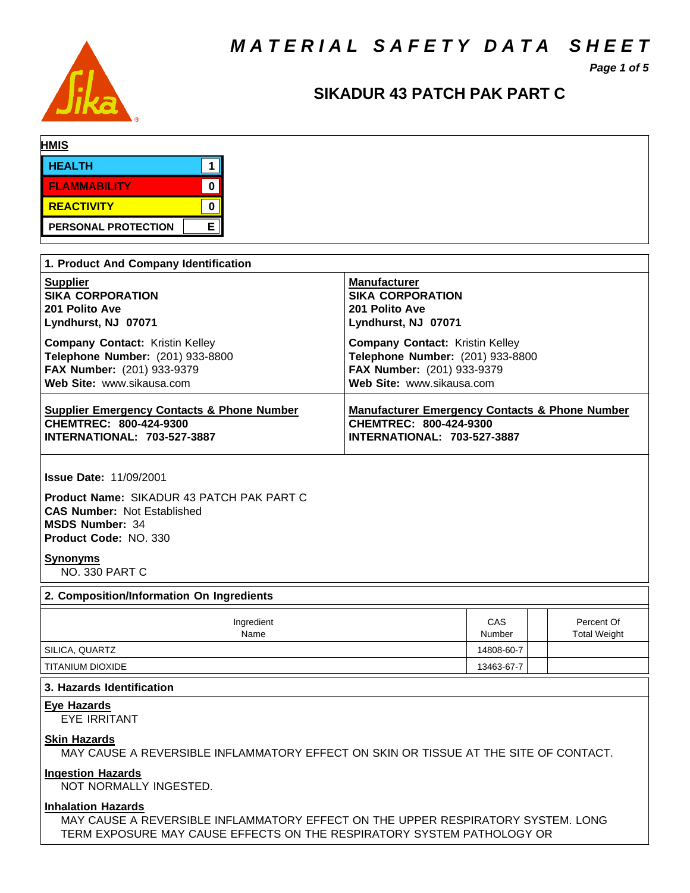*M A T E R I A L S A F E T Y D A T A S H E E T*



# **SIKADUR 43 PATCH PAK PART C**

*Page 1 of 5*

| <b>HMIS</b>   |                            |   |  |  |
|---------------|----------------------------|---|--|--|
| <b>HEALTH</b> |                            |   |  |  |
|               | <b>FLAMMABILITY</b>        | 0 |  |  |
|               | REACTIVITY                 |   |  |  |
|               | <b>PERSONAL PROTECTION</b> | ᆮ |  |  |

| 1. Product And Company Identification                 |                                                           |  |  |  |  |  |
|-------------------------------------------------------|-----------------------------------------------------------|--|--|--|--|--|
| <b>Supplier</b>                                       | <b>Manufacturer</b>                                       |  |  |  |  |  |
| <b>SIKA CORPORATION</b>                               | <b>SIKA CORPORATION</b>                                   |  |  |  |  |  |
| 201 Polito Ave                                        | 201 Polito Ave                                            |  |  |  |  |  |
| Lyndhurst, NJ 07071                                   | Lyndhurst, NJ 07071                                       |  |  |  |  |  |
| <b>Company Contact: Kristin Kelley</b>                | <b>Company Contact:</b> Kristin Kelley                    |  |  |  |  |  |
| Telephone Number: (201) 933-8800                      | Telephone Number: (201) 933-8800                          |  |  |  |  |  |
| FAX Number: (201) 933-9379                            | FAX Number: (201) 933-9379                                |  |  |  |  |  |
| Web Site: www.sikausa.com                             | Web Site: www.sikausa.com                                 |  |  |  |  |  |
| <b>Supplier Emergency Contacts &amp; Phone Number</b> | <b>Manufacturer Emergency Contacts &amp; Phone Number</b> |  |  |  |  |  |
| CHEMTREC: 800-424-9300                                | CHEMTREC: 800-424-9300                                    |  |  |  |  |  |
| <b>INTERNATIONAL: 703-527-3887</b>                    | INTERNATIONAL: 703-527-3887                               |  |  |  |  |  |

**Issue Date:** 11/09/2001

**Product Name:** SIKADUR 43 PATCH PAK PART C **CAS Number:** Not Established **MSDS Number:** 34 **Product Code:** NO. 330

## **Synonyms**

NO. 330 PART C

# **2. Composition/Information On Ingredients**

| Ingredient<br>Name | CAS<br>Number | Percent Of<br><b>Total Weight</b> |
|--------------------|---------------|-----------------------------------|
| SILICA, QUARTZ     | 14808-60-7    |                                   |
| I TITANIUM DIOXIDE | 13463-67-7    |                                   |

#### **3. Hazards Identification**

**Eye Hazards**

EYE IRRITANT

#### **Skin Hazards**

MAY CAUSE A REVERSIBLE INFLAMMATORY EFFECT ON SKIN OR TISSUE AT THE SITE OF CONTACT.

#### **Ingestion Hazards**

NOT NORMALLY INGESTED.

### **Inhalation Hazards**

MAY CAUSE A REVERSIBLE INFLAMMATORY EFFECT ON THE UPPER RESPIRATORY SYSTEM. LONG TERM EXPOSURE MAY CAUSE EFFECTS ON THE RESPIRATORY SYSTEM PATHOLOGY OR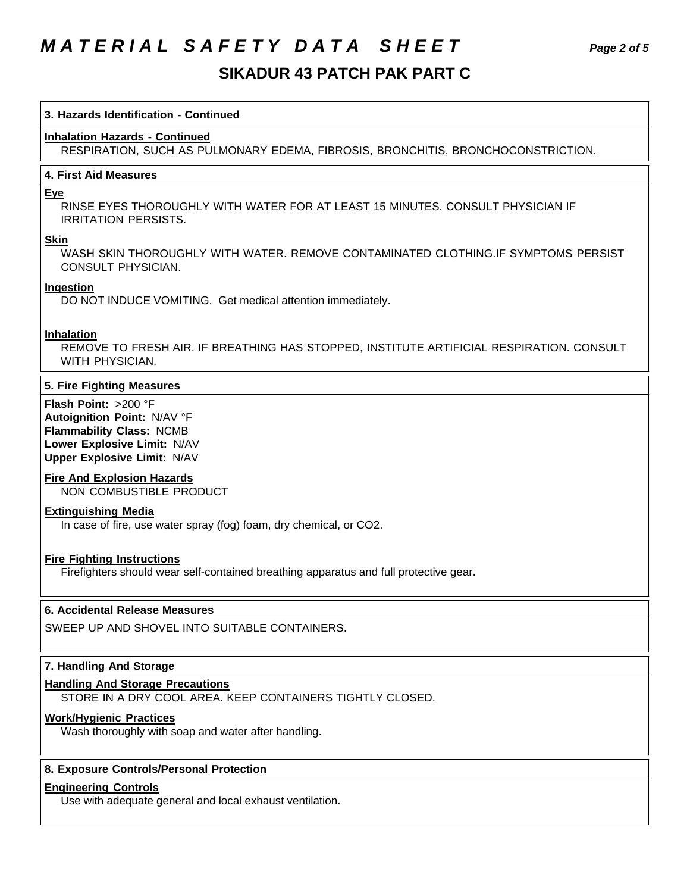# *M A T E R I A L S A F E T Y D A T A S H E E T Page 2 of 5*

# **SIKADUR 43 PATCH PAK PART C**

#### **3. Hazards Identification - Continued**

# **Inhalation Hazards - Continued**

RESPIRATION, SUCH AS PULMONARY EDEMA, FIBROSIS, BRONCHITIS, BRONCHOCONSTRICTION.

# **4. First Aid Measures**

#### **Eye**

RINSE EYES THOROUGHLY WITH WATER FOR AT LEAST 15 MINUTES. CONSULT PHYSICIAN IF IRRITATION PERSISTS.

#### **Skin**

WASH SKIN THOROUGHLY WITH WATER. REMOVE CONTAMINATED CLOTHING.IF SYMPTOMS PERSIST CONSULT PHYSICIAN.

#### **Ingestion**

DO NOT INDUCE VOMITING. Get medical attention immediately.

#### **Inhalation**

REMOVE TO FRESH AIR. IF BREATHING HAS STOPPED, INSTITUTE ARTIFICIAL RESPIRATION. CONSULT WITH PHYSICIAN.

# **5. Fire Fighting Measures**

**Flash Point:** >200 °F **Autoignition Point:** N/AV °F **Flammability Class:** NCMB **Lower Explosive Limit:** N/AV **Upper Explosive Limit:** N/AV

# **Fire And Explosion Hazards**

NON COMBUSTIBLE PRODUCT

# **Extinguishing Media**

In case of fire, use water spray (fog) foam, dry chemical, or CO2.

# **Fire Fighting Instructions**

Firefighters should wear self-contained breathing apparatus and full protective gear.

# **6. Accidental Release Measures**

SWEEP UP AND SHOVEL INTO SUITABLE CONTAINERS.

# **7. Handling And Storage**

#### **Handling And Storage Precautions**

STORE IN A DRY COOL AREA. KEEP CONTAINERS TIGHTLY CLOSED.

# **Work/Hygienic Practices**

Wash thoroughly with soap and water after handling.

# **8. Exposure Controls/Personal Protection**

#### **Engineering Controls**

Use with adequate general and local exhaust ventilation.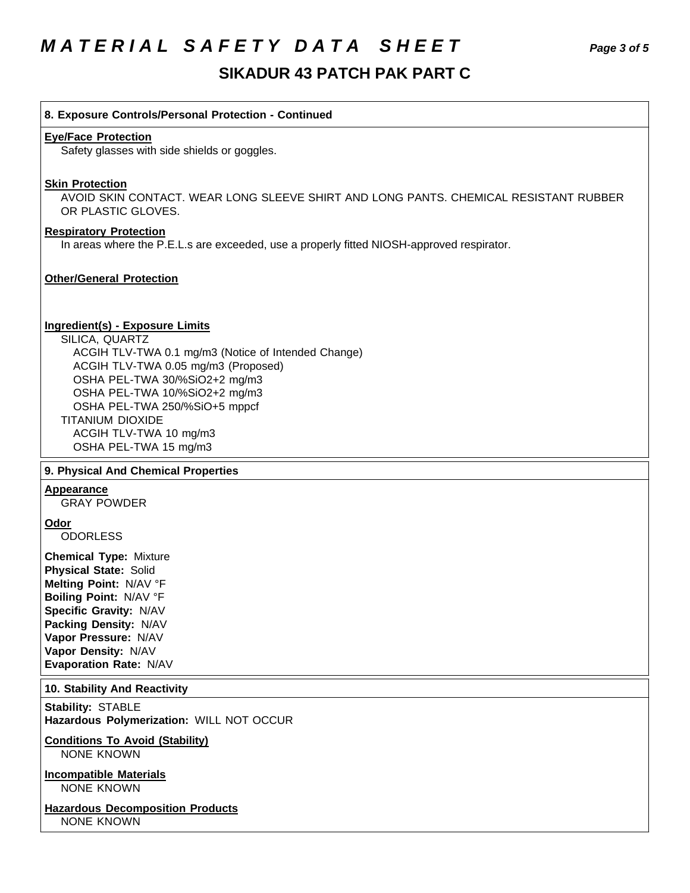# *M A T E R I A L S A F E T Y D A T A S H E E T Page 3 of 5*

# **SIKADUR 43 PATCH PAK PART C**

#### **8. Exposure Controls/Personal Protection - Continued**

#### **Eye/Face Protection**

Safety glasses with side shields or goggles.

#### **Skin Protection**

AVOID SKIN CONTACT. WEAR LONG SLEEVE SHIRT AND LONG PANTS. CHEMICAL RESISTANT RUBBER OR PLASTIC GLOVES.

#### **Respiratory Protection**

In areas where the P.E.L.s are exceeded, use a properly fitted NIOSH-approved respirator.

# **Other/General Protection**

#### **Ingredient(s) - Exposure Limits**

SILICA, QUARTZ ACGIH TLV-TWA 0.1 mg/m3 (Notice of Intended Change) ACGIH TLV-TWA 0.05 mg/m3 (Proposed) OSHA PEL-TWA 30/%SiO2+2 mg/m3 OSHA PEL-TWA 10/%SiO2+2 mg/m3 OSHA PEL-TWA 250/%SiO+5 mppcf TITANIUM DIOXIDE ACGIH TLV-TWA 10 mg/m3 OSHA PEL-TWA 15 mg/m3

#### **9. Physical And Chemical Properties**

#### **Appearance**

GRAY POWDER

#### **Odor**

**ODORLESS** 

**Chemical Type:** Mixture **Physical State:** Solid **Melting Point:** N/AV °F **Boiling Point:** N/AV °F **Specific Gravity:** N/AV **Packing Density:** N/AV **Vapor Pressure:** N/AV **Vapor Density:** N/AV **Evaporation Rate:** N/AV

#### **10. Stability And Reactivity**

**Stability:** STABLE **Hazardous Polymerization:** WILL NOT OCCUR

# **Conditions To Avoid (Stability)**

NONE KNOWN

**Incompatible Materials** NONE KNOWN

**Hazardous Decomposition Products** NONE KNOWN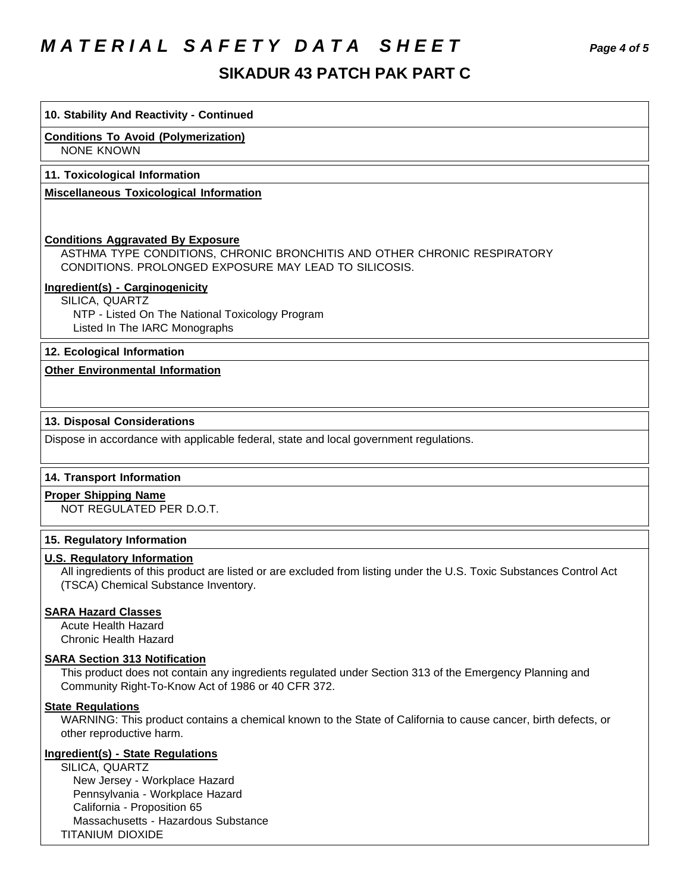# *M A T E R I A L S A F E T Y D A T A S H E E T Page 4 of 5*

## **10. Stability And Reactivity - Continued**

**Conditions To Avoid (Polymerization)**

NONE KNOWN

#### **11. Toxicological Information**

**Miscellaneous Toxicological Information**

### **Conditions Aggravated By Exposure**

ASTHMA TYPE CONDITIONS, CHRONIC BRONCHITIS AND OTHER CHRONIC RESPIRATORY CONDITIONS. PROLONGED EXPOSURE MAY LEAD TO SILICOSIS.

#### **Ingredient(s) - Carginogenicity**

SILICA, QUARTZ NTP - Listed On The National Toxicology Program Listed In The IARC Monographs

# **12. Ecological Information**

# **Other Environmental Information**

# **13. Disposal Considerations**

Dispose in accordance with applicable federal, state and local government regulations.

# **14. Transport Information**

#### **Proper Shipping Name**

NOT REGULATED PER D.O.T.

#### **15. Regulatory Information**

## **U.S. Regulatory Information**

All ingredients of this product are listed or are excluded from listing under the U.S. Toxic Substances Control Act (TSCA) Chemical Substance Inventory.

#### **SARA Hazard Classes**

Acute Health Hazard Chronic Health Hazard

#### **SARA Section 313 Notification**

This product does not contain any ingredients regulated under Section 313 of the Emergency Planning and Community Right-To-Know Act of 1986 or 40 CFR 372.

# **State Regulations**

WARNING: This product contains a chemical known to the State of California to cause cancer, birth defects, or other reproductive harm.

## **Ingredient(s) - State Regulations**

SILICA, QUARTZ New Jersey - Workplace Hazard Pennsylvania - Workplace Hazard California - Proposition 65 Massachusetts - Hazardous Substance TITANIUM DIOXIDE